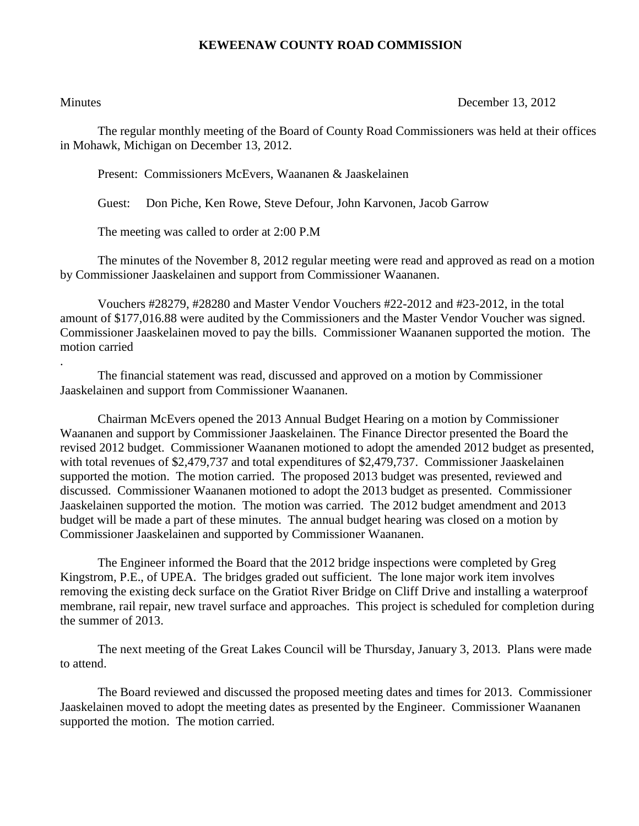## **KEWEENAW COUNTY ROAD COMMISSION**

.

Minutes December 13, 2012

The regular monthly meeting of the Board of County Road Commissioners was held at their offices in Mohawk, Michigan on December 13, 2012.

Present: Commissioners McEvers, Waananen & Jaaskelainen

Guest: Don Piche, Ken Rowe, Steve Defour, John Karvonen, Jacob Garrow

The meeting was called to order at 2:00 P.M

The minutes of the November 8, 2012 regular meeting were read and approved as read on a motion by Commissioner Jaaskelainen and support from Commissioner Waananen.

Vouchers #28279, #28280 and Master Vendor Vouchers #22-2012 and #23-2012, in the total amount of \$177,016.88 were audited by the Commissioners and the Master Vendor Voucher was signed. Commissioner Jaaskelainen moved to pay the bills. Commissioner Waananen supported the motion. The motion carried

The financial statement was read, discussed and approved on a motion by Commissioner Jaaskelainen and support from Commissioner Waananen.

Chairman McEvers opened the 2013 Annual Budget Hearing on a motion by Commissioner Waananen and support by Commissioner Jaaskelainen. The Finance Director presented the Board the revised 2012 budget. Commissioner Waananen motioned to adopt the amended 2012 budget as presented, with total revenues of \$2,479,737 and total expenditures of \$2,479,737. Commissioner Jaaskelainen supported the motion. The motion carried. The proposed 2013 budget was presented, reviewed and discussed. Commissioner Waananen motioned to adopt the 2013 budget as presented. Commissioner Jaaskelainen supported the motion. The motion was carried. The 2012 budget amendment and 2013 budget will be made a part of these minutes. The annual budget hearing was closed on a motion by Commissioner Jaaskelainen and supported by Commissioner Waananen.

The Engineer informed the Board that the 2012 bridge inspections were completed by Greg Kingstrom, P.E., of UPEA. The bridges graded out sufficient. The lone major work item involves removing the existing deck surface on the Gratiot River Bridge on Cliff Drive and installing a waterproof membrane, rail repair, new travel surface and approaches. This project is scheduled for completion during the summer of 2013.

The next meeting of the Great Lakes Council will be Thursday, January 3, 2013. Plans were made to attend.

The Board reviewed and discussed the proposed meeting dates and times for 2013. Commissioner Jaaskelainen moved to adopt the meeting dates as presented by the Engineer. Commissioner Waananen supported the motion. The motion carried.